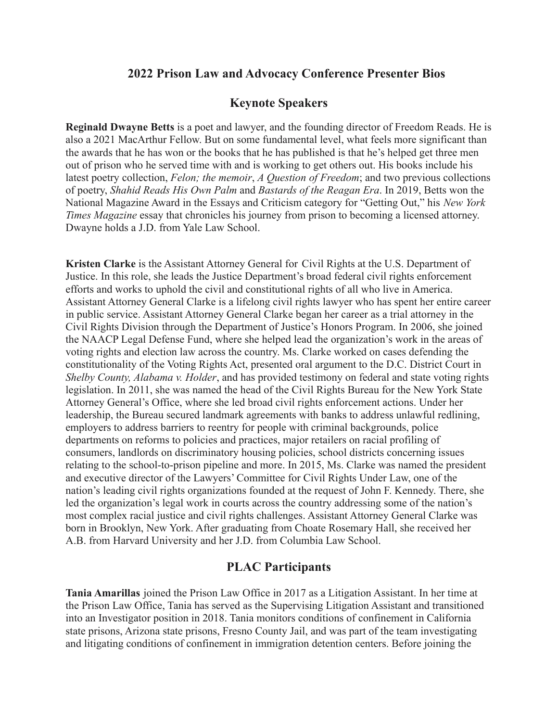## **2022 Prison Law and Advocacy Conference Presenter Bios**

## **Keynote Speakers**

**Reginald Dwayne Betts** is a poet and lawyer, and the founding director of Freedom Reads. He is also a 2021 MacArthur Fellow. But on some fundamental level, what feels more significant than the awards that he has won or the books that he has published is that he's helped get three men out of prison who he served time with and is working to get others out. His books include his latest poetry collection, *Felon; the memoir*, *A Question of Freedom*; and two previous collections of poetry, *Shahid Reads His Own Palm* and *Bastards of the Reagan Era*. In 2019, Betts won the National Magazine Award in the Essays and Criticism category for "Getting Out," his *New York Times Magazine* essay that chronicles his journey from prison to becoming a licensed attorney. Dwayne holds a J.D. from Yale Law School.

**Kristen Clarke** is the Assistant Attorney General for Civil Rights at the U.S. Department of Justice. In this role, she leads the Justice Department's broad federal civil rights enforcement efforts and works to uphold the civil and constitutional rights of all who live in America. Assistant Attorney General Clarke is a lifelong civil rights lawyer who has spent her entire career in public service. Assistant Attorney General Clarke began her career as a trial attorney in the Civil Rights Division through the Department of Justice's Honors Program. In 2006, she joined the NAACP Legal Defense Fund, where she helped lead the organization's work in the areas of voting rights and election law across the country. Ms. Clarke worked on cases defending the constitutionality of the Voting Rights Act, presented oral argument to the D.C. District Court in *Shelby County, Alabama v. Holder*, and has provided testimony on federal and state voting rights legislation. In 2011, she was named the head of the Civil Rights Bureau for the New York State Attorney General's Office, where she led broad civil rights enforcement actions. Under her leadership, the Bureau secured landmark agreements with banks to address unlawful redlining, employers to address barriers to reentry for people with criminal backgrounds, police departments on reforms to policies and practices, major retailers on racial profiling of consumers, landlords on discriminatory housing policies, school districts concerning issues relating to the school-to-prison pipeline and more. In 2015, Ms. Clarke was named the president and executive director of the Lawyers' Committee for Civil Rights Under Law, one of the nation's leading civil rights organizations founded at the request of John F. Kennedy. There, she led the organization's legal work in courts across the country addressing some of the nation's most complex racial justice and civil rights challenges. Assistant Attorney General Clarke was born in Brooklyn, New York. After graduating from Choate Rosemary Hall, she received her A.B. from Harvard University and her J.D. from Columbia Law School.

## **PLAC Participants**

**Tania Amarillas** joined the Prison Law Office in 2017 as a Litigation Assistant. In her time at the Prison Law Office, Tania has served as the Supervising Litigation Assistant and transitioned into an Investigator position in 2018. Tania monitors conditions of confinement in California state prisons, Arizona state prisons, Fresno County Jail, and was part of the team investigating and litigating conditions of confinement in immigration detention centers. Before joining the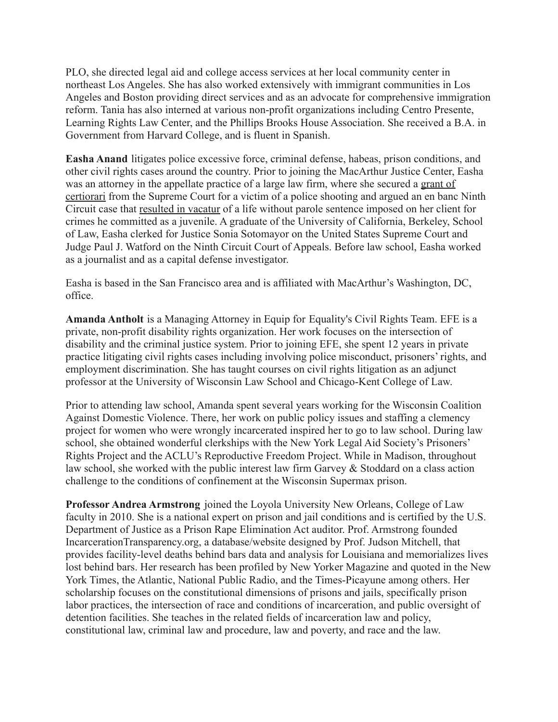PLO, she directed legal aid and college access services at her local community center in northeast Los Angeles. She has also worked extensively with immigrant communities in Los Angeles and Boston providing direct services and as an advocate for comprehensive immigration reform. Tania has also interned at various non-profit organizations including Centro Presente, Learning Rights Law Center, and the Phillips Brooks House Association. She received a B.A. in Government from Harvard College, and is fluent in Spanish.

**Easha Anand** litigates police excessive force, criminal defense, habeas, prison conditions, and other civil rights cases around the country. Prior to joining the MacArthur Justice Center, Easha was an attorney in the appellate practice of a large law firm, where she secured a [grant of](https://www.scotusblog.com/case-files/cases/torres-v-madrid/) [certiorari](https://www.scotusblog.com/case-files/cases/torres-v-madrid/) from the Supreme Court for a victim of a police shooting and argued an en banc Ninth Circuit case that [resulted in vacatur](https://cdn.ca9.uscourts.gov/datastore/opinions/2019/07/09/16-10150.pdf) of a life without parole sentence imposed on her client for crimes he committed as a juvenile. A graduate of the University of California, Berkeley, School of Law, Easha clerked for Justice Sonia Sotomayor on the United States Supreme Court and Judge Paul J. Watford on the Ninth Circuit Court of Appeals. Before law school, Easha worked as a journalist and as a capital defense investigator.

Easha is based in the San Francisco area and is affiliated with MacArthur's Washington, DC, office.

**Amanda Antholt** is a Managing Attorney in Equip for Equality's Civil Rights Team. EFE is a private, non-profit disability rights organization. Her work focuses on the intersection of disability and the criminal justice system. Prior to joining EFE, she spent 12 years in private practice litigating civil rights cases including involving police misconduct, prisoners' rights, and employment discrimination. She has taught courses on civil rights litigation as an adjunct professor at the University of Wisconsin Law School and Chicago-Kent College of Law.

Prior to attending law school, Amanda spent several years working for the Wisconsin Coalition Against Domestic Violence. There, her work on public policy issues and staffing a clemency project for women who were wrongly incarcerated inspired her to go to law school. During law school, she obtained wonderful clerkships with the New York Legal Aid Society's Prisoners' Rights Project and the ACLU's Reproductive Freedom Project. While in Madison, throughout law school, she worked with the public interest law firm Garvey & Stoddard on a class action challenge to the conditions of confinement at the Wisconsin Supermax prison.

**Professor Andrea Armstrong** joined the Loyola University New Orleans, College of Law faculty in 2010. She is a national expert on prison and jail conditions and is certified by the U.S. Department of Justice as a Prison Rape Elimination Act auditor. Prof. Armstrong founded [IncarcerationTransparency.org](https://www.incarcerationtransparency.org/), a database/website designed by [Prof. Judson Mitchell](https://law.loyno.edu/academics/faculty-and-staff-directory/r-judson-mitchell-jr), that provides facility-level deaths behind bars data and analysis for Louisiana and memorializes lives lost behind bars. Her research has been profiled by [New Yorker Magazine](https://www.newyorker.com/magazine/2021/08/23/a-fight-to-expose-the-hidden-human-costs-of-incarceration) and quoted in the New York Times, the Atlantic, National Public Radio, and the Times-Picayune among others. Her scholarship focuses on the constitutional dimensions of prisons and jails, specifically prison labor practices, the intersection of race and conditions of incarceration, and public oversight of detention facilities. She teaches in the related fields of incarceration law and policy, constitutional law, criminal law and procedure, law and poverty, and race and the law.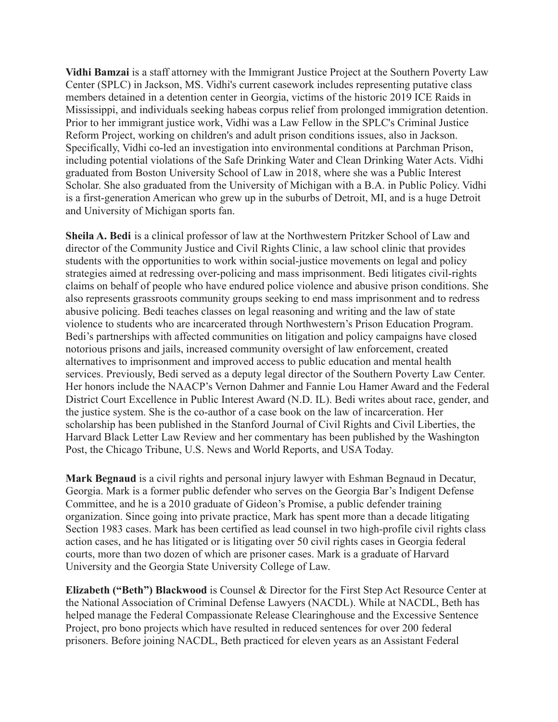**Vidhi Bamzai** is a staff attorney with the Immigrant Justice Project at the Southern Poverty Law Center (SPLC) in Jackson, MS. Vidhi's current casework includes representing putative class members detained in a detention center in Georgia, victims of the historic 2019 ICE Raids in Mississippi, and individuals seeking habeas corpus relief from prolonged immigration detention. Prior to her immigrant justice work, Vidhi was a Law Fellow in the SPLC's Criminal Justice Reform Project, working on children's and adult prison conditions issues, also in Jackson. Specifically, Vidhi co-led an investigation into environmental conditions at Parchman Prison, including potential violations of the Safe Drinking Water and Clean Drinking Water Acts. Vidhi graduated from Boston University School of Law in 2018, where she was a Public Interest Scholar. She also graduated from the University of Michigan with a B.A. in Public Policy. Vidhi is a first-generation American who grew up in the suburbs of Detroit, MI, and is a huge Detroit and University of Michigan sports fan.

**Sheila A. Bedi** is a clinical professor of law at the Northwestern Pritzker School of Law and director of the Community Justice and Civil Rights Clinic, a law school clinic that provides students with the opportunities to work within social-justice movements on legal and policy strategies aimed at redressing over-policing and mass imprisonment. Bedi litigates civil-rights claims on behalf of people who have endured police violence and abusive prison conditions. She also represents grassroots community groups seeking to end mass imprisonment and to redress abusive policing. Bedi teaches classes on legal reasoning and writing and the law of state violence to students who are incarcerated through Northwestern's Prison Education Program. Bedi's partnerships with affected communities on litigation and policy campaigns have closed notorious prisons and jails, increased community oversight of law enforcement, created alternatives to imprisonment and improved access to public education and mental health services. Previously, Bedi served as a deputy legal director of the Southern Poverty Law Center. Her honors include the NAACP's Vernon Dahmer and Fannie Lou Hamer Award and the Federal District Court Excellence in Public Interest Award (N.D. IL). Bedi writes about race, gender, and the justice system. She is the co-author of a case book on the law of incarceration. Her scholarship has been published in the Stanford Journal of Civil Rights and Civil Liberties, the Harvard Black Letter Law Review and her commentary has been published by the Washington Post, the Chicago Tribune, U.S. News and World Reports, and USA Today.

**Mark Begnaud** is a civil rights and personal injury lawyer with Eshman Begnaud in Decatur, Georgia. Mark is a former public defender who serves on the Georgia Bar's Indigent Defense Committee, and he is a 2010 graduate of Gideon's Promise, a public defender training organization. Since going into private practice, Mark has spent more than a decade litigating Section 1983 cases. Mark has been certified as lead counsel in two high-profile civil rights class action cases, and he has litigated or is litigating over 50 civil rights cases in Georgia federal courts, more than two dozen of which are prisoner cases. Mark is a graduate of Harvard University and the Georgia State University College of Law.

**Elizabeth ("Beth") Blackwood** is Counsel & Director for the First Step Act Resource Center at the National Association of Criminal Defense Lawyers (NACDL). While at NACDL, Beth has helped manage the Federal Compassionate Release Clearinghouse and the Excessive Sentence Project, pro bono projects which have resulted in reduced sentences for over 200 federal prisoners. Before joining NACDL, Beth practiced for eleven years as an Assistant Federal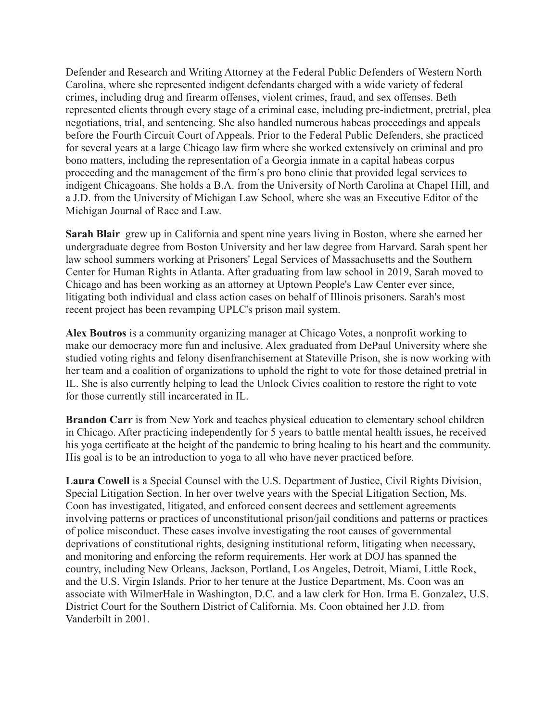Defender and Research and Writing Attorney at the Federal Public Defenders of Western North Carolina, where she represented indigent defendants charged with a wide variety of federal crimes, including drug and firearm offenses, violent crimes, fraud, and sex offenses. Beth represented clients through every stage of a criminal case, including pre-indictment, pretrial, plea negotiations, trial, and sentencing. She also handled numerous habeas proceedings and appeals before the Fourth Circuit Court of Appeals. Prior to the Federal Public Defenders, she practiced for several years at a large Chicago law firm where she worked extensively on criminal and pro bono matters, including the representation of a Georgia inmate in a capital habeas corpus proceeding and the management of the firm's pro bono clinic that provided legal services to indigent Chicagoans. She holds a B.A. from the University of North Carolina at Chapel Hill, and a J.D. from the University of Michigan Law School, where she was an Executive Editor of the Michigan Journal of Race and Law.

**Sarah Blair** grew up in California and spent nine years living in Boston, where she earned her undergraduate degree from Boston University and her law degree from Harvard. Sarah spent her law school summers working at Prisoners' Legal Services of Massachusetts and the Southern Center for Human Rights in Atlanta. After graduating from law school in 2019, Sarah moved to Chicago and has been working as an attorney at Uptown People's Law Center ever since, litigating both individual and class action cases on behalf of Illinois prisoners. Sarah's most recent project has been revamping UPLC's prison mail system.

**Alex Boutros** is a community organizing manager at Chicago Votes, a nonprofit working to make our democracy more fun and inclusive. Alex graduated from DePaul University where she studied voting rights and felony disenfranchisement at Stateville Prison, she is now working with her team and a coalition of organizations to uphold the right to vote for those detained pretrial in IL. She is also currently helping to lead the Unlock Civics coalition to restore the right to vote for those currently still incarcerated in IL.

**Brandon Carr** is from New York and teaches physical education to elementary school children in Chicago. After practicing independently for 5 years to battle mental health issues, he received his yoga certificate at the height of the pandemic to bring healing to his heart and the community. His goal is to be an introduction to yoga to all who have never practiced before.

**Laura Cowell** is a Special Counsel with the U.S. Department of Justice, Civil Rights Division, Special Litigation Section. In her over twelve years with the Special Litigation Section, Ms. Coon has investigated, litigated, and enforced consent decrees and settlement agreements involving patterns or practices of unconstitutional prison/jail conditions and patterns or practices of police misconduct. These cases involve investigating the root causes of governmental deprivations of constitutional rights, designing institutional reform, litigating when necessary, and monitoring and enforcing the reform requirements. Her work at DOJ has spanned the country, including New Orleans, Jackson, Portland, Los Angeles, Detroit, Miami, Little Rock, and the U.S. Virgin Islands. Prior to her tenure at the Justice Department, Ms. Coon was an associate with WilmerHale in Washington, D.C. and a law clerk for Hon. Irma E. Gonzalez, U.S. District Court for the Southern District of California. Ms. Coon obtained her J.D. from Vanderbilt in 2001.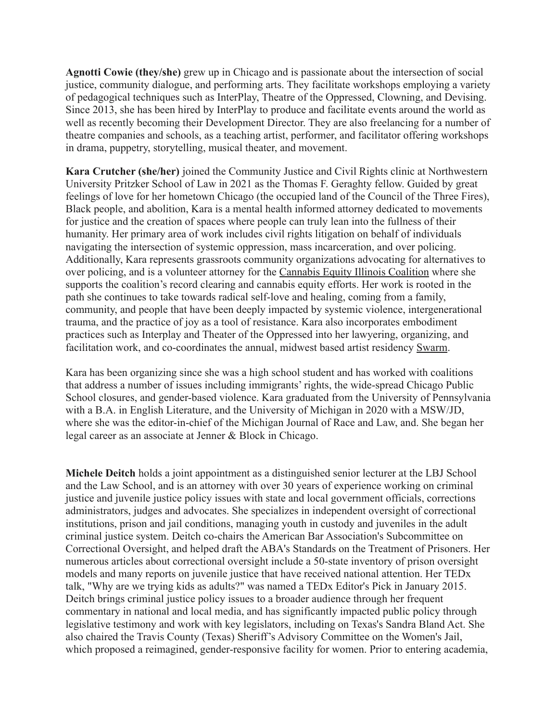**Agnotti Cowie (they/she)** grew up in Chicago and is passionate about the intersection of social justice, community dialogue, and performing arts. They facilitate workshops employing a variety of pedagogical techniques such as InterPlay, Theatre of the Oppressed, Clowning, and Devising. Since 2013, she has been hired by InterPlay to produce and facilitate events around the world as well as recently becoming their Development Director. They are also freelancing for a number of theatre companies and schools, as a teaching artist, performer, and facilitator offering workshops in drama, puppetry, storytelling, musical theater, and movement.

**Kara Crutcher (she/her)** joined the Community Justice and Civil Rights clinic at Northwestern University Pritzker School of Law in 2021 as the Thomas F. Geraghty fellow. Guided by great feelings of love for her hometown Chicago (the occupied land of the Council of the Three Fires), Black people, and abolition, Kara is a mental health informed attorney dedicated to movements for justice and the creation of spaces where people can truly lean into the fullness of their humanity. Her primary area of work includes civil rights litigation on behalf of individuals navigating the intersection of systemic oppression, mass incarceration, and over policing. Additionally, Kara represents grassroots community organizations advocating for alternatives to over policing, and is a volunteer attorney for the [Cannabis Equity Illinois Coalition](https://cannabisequityil.org/) where she supports the coalition's record clearing and cannabis equity efforts. Her work is rooted in the path she continues to take towards radical self-love and healing, coming from a family, community, and people that have been deeply impacted by systemic violence, intergenerational trauma, and the practice of joy as a tool of resistance. Kara also incorporates embodiment practices such as Interplay and Theater of the Oppressed into her lawyering, organizing, and facilitation work, and co-coordinates the annual, midwest based artist residency [Swarm](http://www.swarmartistresidency.com/).

Kara has been organizing since she was a high school student and has worked with coalitions that address a number of issues including immigrants' rights, the wide-spread Chicago Public School closures, and gender-based violence. Kara graduated from the University of Pennsylvania with a B.A. in English Literature, and the University of Michigan in 2020 with a MSW/JD, where she was the editor-in-chief of the Michigan Journal of Race and Law, and. She began her legal career as an associate at Jenner & Block in Chicago.

**Michele Deitch** holds a joint appointment as a distinguished senior lecturer at the LBJ School and the Law School, and is an attorney with over 30 years of experience working on criminal justice and juvenile justice policy issues with state and local government officials, corrections administrators, judges and advocates. She specializes in independent oversight of correctional institutions, prison and jail conditions, managing youth in custody and juveniles in the adult criminal justice system. Deitch co-chairs the American Bar Association's Subcommittee on Correctional Oversight, and helped draft the ABA's Standards on the Treatment of Prisoners. Her numerous articles about correctional oversight include [a 50-state inventory of prison oversight](https://digitalcommons.pace.edu/plr/vol30/iss5/21/) [models](https://digitalcommons.pace.edu/plr/vol30/iss5/21/) and many reports on juvenile justice that have received national attention. Her TEDx talk, "[Why are we trying kids as adults?"](https://www.youtube.com/watch?v=5YHhz5MIKHM) was named a TEDx Editor's Pick in January 2015. Deitch brings criminal justice policy issues to a broader audience through her frequent commentary in national and local media, and has significantly impacted public policy through legislative testimony and work with key legislators, including on Texas's Sandra Bland Act. She also chaired the Travis County (Texas) Sheriff's Advisory Committee on the Women's Jail, which proposed a [reimagined, gender-responsive facility](https://law.utexas.edu/faculty/publications/2018-designing-and-planning-a-new-womens-jail-facility-for-travis-county-a-roadmap-for-reform) for women. Prior to entering academia,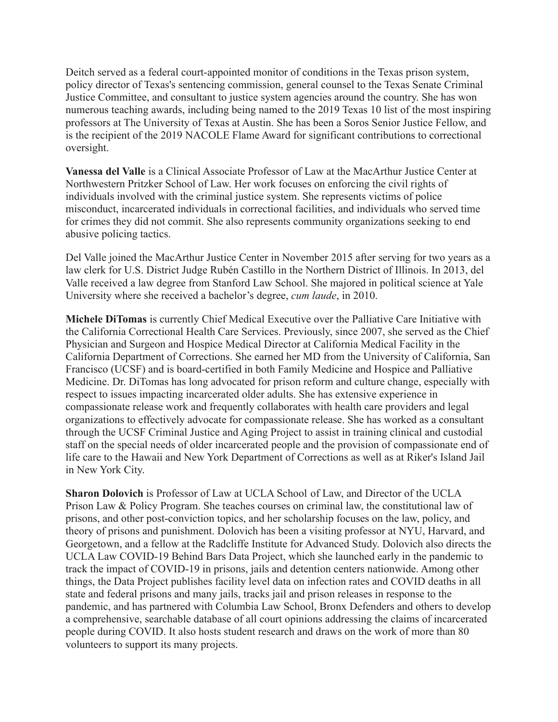Deitch served as a federal court-appointed monitor of conditions in the Texas prison system, policy director of Texas's sentencing commission, general counsel to the Texas Senate Criminal Justice Committee, and consultant to justice system agencies around the country. She has won numerous teaching awards, including being named to the [2019 Texas 10 list](https://lbj.utexas.edu/lbjs-michele-deitch-chosen-alumni-one-texas-10) of the most inspiring professors at The University of Texas at Austin. She has been a Soros Senior Justice Fellow, and is the recipient of the 2019 NACOLE Flame Award for significant contributions to correctional oversight.

**Vanessa del Valle** is a Clinical Associate Professor of Law at the MacArthur Justice Center at Northwestern Pritzker School of Law. Her work focuses on enforcing the civil rights of individuals involved with the criminal justice system. She represents victims of police misconduct, incarcerated individuals in correctional facilities, and individuals who served time for crimes they did not commit. She also represents community organizations seeking to end abusive policing tactics.

Del Valle joined the MacArthur Justice Center in November 2015 after serving for two years as a law clerk for U.S. District Judge Rubén Castillo in the Northern District of Illinois. In 2013, del Valle received a law degree from Stanford Law School. She majored in political science at Yale University where she received a bachelor's degree, *cum laude*, in 2010.

**Michele DiTomas** is currently Chief Medical Executive over the Palliative Care Initiative with the California Correctional Health Care Services. Previously, since 2007, she served as the Chief Physician and Surgeon and Hospice Medical Director at California Medical Facility in the California Department of Corrections. She earned her MD from the University of California, San Francisco (UCSF) and is board-certified in both Family Medicine and Hospice and Palliative Medicine. Dr. DiTomas has long advocated for prison reform and culture change, especially with respect to issues impacting incarcerated older adults. She has extensive experience in compassionate release work and frequently collaborates with health care providers and legal organizations to effectively advocate for compassionate release. She has worked as a consultant through the UCSF Criminal Justice and Aging Project to assist in training clinical and custodial staff on the special needs of older incarcerated people and the provision of compassionate end of life care to the Hawaii and New York Department of Corrections as well as at Riker's Island Jail in New York City.

**Sharon Dolovich** is Professor of Law at UCLA School of Law, and Director of the UCLA Prison Law & Policy Program. She teaches courses on criminal law, the constitutional law of prisons, and other post-conviction topics, and her scholarship focuses on the law, policy, and theory of prisons and punishment. Dolovich has been a visiting professor at NYU, Harvard, and Georgetown, and a fellow at the Radcliffe Institute for Advanced Study. Dolovich also directs the UCLA Law COVID-19 Behind Bars Data Project, which she launched early in the pandemic to track the impact of COVID-19 in prisons, jails and detention centers nationwide. Among other things, the Data Project publishes facility level data on infection rates and COVID deaths in all state and federal prisons and many jails, tracks jail and prison releases in response to the pandemic, and has partnered with Columbia Law School, Bronx Defenders and others to develop a comprehensive, searchable database of all court opinions addressing the claims of incarcerated people during COVID. It also hosts student research and draws on the work of more than 80 volunteers to support its many projects.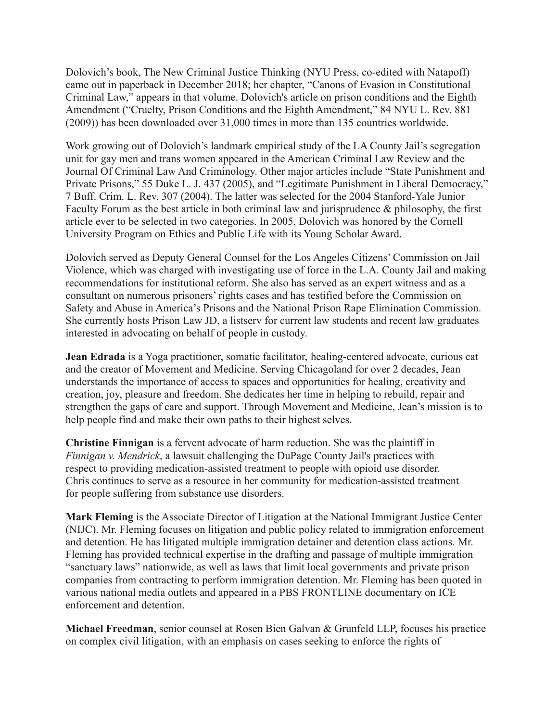Dolovich's book, The New Criminal Justice Thinking (NYU Press, co-edited with Natapoff) came out in paperback in December 2018; her chapter, "Canons of Evasion in Constitutional Criminal Law," appears in that volume. Dolovich's article on prison conditions and the Eighth Amendment ("Cruelty, Prison Conditions and the Eighth Amendment," 84 NYU L. Rev. 881 (2009)) has been downloaded over 31,000 times in more than 135 countries worldwide.

Work growing out of Dolovich's landmark empirical study of the LA County Jail's segregation unit for gay men and trans women appeared in the American Criminal Law Review and the Journal Of Criminal Law And Criminology. Other major articles include "State Punishment and Private Prisons," 55 Duke L. J. 437 (2005), and "Legitimate Punishment in Liberal Democracy," 7 Buff. Crim. L. Rev. 307 (2004). The latter was selected for the 2004 Stanford-Yale Junior Faculty Forum as the best article in both criminal law and jurisprudence & philosophy, the first article ever to be selected in two categories. In 2005, Dolovich was honored by the Cornell University Program on Ethics and Public Life with its Young Scholar Award.

Dolovich served as Deputy General Counsel for the Los Angeles Citizens' Commission on Jail Violence, which was charged with investigating use of force in the L.A. County Jail and making recommendations for institutional reform. She also has served as an expert witness and as a consultant on numerous prisoners' rights cases and has testified before the Commission on Safety and Abuse in America's Prisons and the National Prison Rape Elimination Commission. She currently hosts Prison Law JD, a listserv for current law students and recent law graduates interested in advocating on behalf of people in custody.

**Jean Edrada** is a Yoga practitioner, somatic facilitator, healing-centered advocate, curious cat and the creator of Movement and Medicine. Serving Chicagoland for over 2 decades, Jean understands the importance of access to spaces and opportunities for healing, creativity and creation, joy, pleasure and freedom. She dedicates her time in helping to rebuild, repair and strengthen the gaps of care and support. Through Movement and Medicine, Jean's mission is to help people find and make their own paths to their highest selves.

**Christine Finnigan** is a fervent advocate of harm reduction. She was the plaintiff in *Finnigan v. Mendrick*, a lawsuit challenging the DuPage County Jail's practices with respect to providing medication-assisted treatment to people with opioid use disorder. Chris continues to serve as a resource in her community for medication-assisted treatment for people suffering from substance use disorders.

**Mark Fleming** is the Associate Director of Litigation at the National Immigrant Justice Center (NIJC). Mr. Fleming focuses on litigation and public policy related to immigration enforcement and detention. He has litigated multiple immigration detainer and detention class actions. Mr. Fleming has provided technical expertise in the drafting and passage of multiple immigration "sanctuary laws" nationwide, as well as laws that limit local governments and private prison companies from contracting to perform immigration detention. Mr. Fleming has been quoted in various national media outlets and appeared in a PBS FRONTLINE documentary on ICE enforcement and detention.

**Michael Freedman**, senior counsel at Rosen Bien Galvan & Grunfeld LLP, focuses his practice on complex civil litigation, with an emphasis on cases seeking to enforce the rights of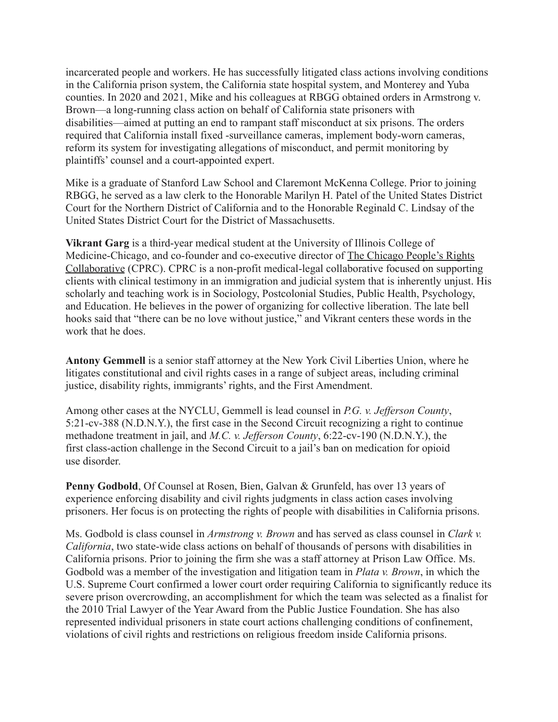incarcerated people and workers. He has successfully litigated class actions involving conditions in the California prison system, the California state hospital system, and Monterey and Yuba counties. In 2020 and 2021, Mike and his colleagues at RBGG obtained orders in Armstrong v. Brown—a long-running class action on behalf of California state prisoners with disabilities—aimed at putting an end to rampant staff misconduct at six prisons. The orders required that California install fixed -surveillance cameras, implement body-worn cameras, reform its system for investigating allegations of misconduct, and permit monitoring by plaintiffs' counsel and a court-appointed expert.

Mike is a graduate of Stanford Law School and Claremont McKenna College. Prior to joining RBGG, he served as a law clerk to the Honorable Marilyn H. Patel of the United States District Court for the Northern District of California and to the Honorable Reginald C. Lindsay of the United States District Court for the District of Massachusetts.

**Vikrant Garg** is a third-year medical student at the University of Illinois College of Medicine-Chicago, and co-founder and co-executive director of [The Chicago People's Rights](https://www.chicagopeoplesrights.com/) [Collaborative](https://www.chicagopeoplesrights.com/) (CPRC). CPRC is a non-profit medical-legal collaborative focused on supporting clients with clinical testimony in an immigration and judicial system that is inherently unjust. His scholarly and teaching work is in Sociology, Postcolonial Studies, Public Health, Psychology, and Education. He believes in the power of organizing for collective liberation. The late bell hooks said that "there can be no love without justice," and Vikrant centers these words in the work that he does.

**Antony Gemmell** is a senior staff attorney at the New York Civil Liberties Union, where he litigates constitutional and civil rights cases in a range of subject areas, including criminal justice, disability rights, immigrants' rights, and the First Amendment.

Among other cases at the NYCLU, Gemmell is lead counsel in *P.G. v. Jefferson County*, 5:21-cv-388 (N.D.N.Y.), the first case in the Second Circuit recognizing a right to continue methadone treatment in jail, and *M.C. v. Jefferson County*, 6:22-cv-190 (N.D.N.Y.), the first class-action challenge in the Second Circuit to a jail's ban on medication for opioid use disorder.

**Penny Godbold**, Of Counsel at Rosen, Bien, Galvan & Grunfeld, has over 13 years of experience enforcing disability and civil rights judgments in class action cases involving prisoners. Her focus is on protecting the rights of people with disabilities in California prisons.

Ms. Godbold is class counsel in *Armstrong v. Brown* and has served as class counsel in *Clark v. California*, two state-wide class actions on behalf of thousands of persons with disabilities in California prisons. Prior to joining the firm she was a staff attorney at Prison Law Office. Ms. Godbold was a member of the investigation and litigation team in *Plata v. Brown*, in which the U.S. Supreme Court confirmed a lower court order requiring California to significantly reduce its severe prison overcrowding, an accomplishment for which the team was selected as a finalist for the 2010 Trial Lawyer of the Year Award from the Public Justice Foundation. She has also represented individual prisoners in state court actions challenging conditions of confinement, violations of civil rights and restrictions on religious freedom inside California prisons.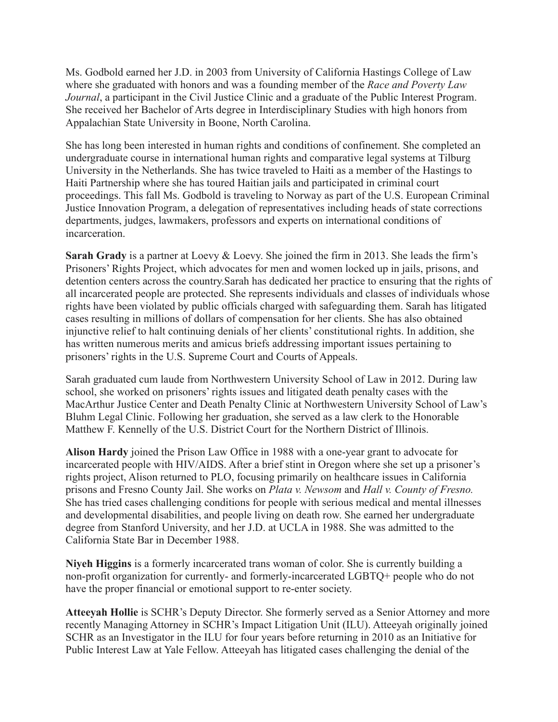Ms. Godbold earned her J.D. in 2003 from University of California Hastings College of Law where she graduated with honors and was a founding member of the *Race and Poverty Law Journal*, a participant in the Civil Justice Clinic and a graduate of the Public Interest Program. She received her Bachelor of Arts degree in Interdisciplinary Studies with high honors from Appalachian State University in Boone, North Carolina.

She has long been interested in human rights and conditions of confinement. She completed an undergraduate course in international human rights and comparative legal systems at Tilburg University in the Netherlands. She has twice traveled to Haiti as a member of the Hastings to Haiti Partnership where she has toured Haitian jails and participated in criminal court proceedings. This fall Ms. Godbold is traveling to Norway as part of the U.S. European Criminal Justice Innovation Program, a delegation of representatives including heads of state corrections departments, judges, lawmakers, professors and experts on international conditions of incarceration.

**Sarah Grady** is a partner at Loevy & Loevy. She joined the firm in 2013. She leads the firm's Prisoners' Rights Project, which advocates for men and women locked up in jails, prisons, and detention centers across the country.Sarah has dedicated her practice to ensuring that the rights of all incarcerated people are protected. She represents individuals and classes of individuals whose rights have been violated by public officials charged with safeguarding them. Sarah has litigated cases resulting in millions of dollars of compensation for her clients. She has also obtained injunctive relief to halt continuing denials of her clients' constitutional rights. In addition, she has written numerous merits and amicus briefs addressing important issues pertaining to prisoners' rights in the U.S. Supreme Court and Courts of Appeals.

Sarah graduated cum laude from Northwestern University School of Law in 2012. During law school, she worked on prisoners' rights issues and litigated death penalty cases with the MacArthur Justice Center and Death Penalty Clinic at Northwestern University School of Law's Bluhm Legal Clinic. Following her graduation, she served as a law clerk to the Honorable Matthew F. Kennelly of the U.S. District Court for the Northern District of Illinois.

**Alison Hardy** joined the Prison Law Office in 1988 with a one-year grant to advocate for incarcerated people with HIV/AIDS. After a brief stint in Oregon where she set up a prisoner's rights project, Alison returned to PLO, focusing primarily on healthcare issues in California prisons and Fresno County Jail. She works on *Plata v. Newsom* and *Hall v. County of Fresno.* She has tried cases challenging conditions for people with serious medical and mental illnesses and developmental disabilities, and people living on death row. She earned her undergraduate degree from Stanford University, and her J.D. at UCLA in 1988. She was admitted to the California State Bar in December 1988.

**Niyeh Higgins** is a formerly incarcerated trans woman of color. She is currently building a non-profit organization for currently- and formerly-incarcerated LGBTQ+ people who do not have the proper financial or emotional support to re-enter society.

**Atteeyah Hollie** is SCHR's Deputy Director. She formerly served as a Senior Attorney and more recently Managing Attorney in SCHR's Impact Litigation Unit (ILU). Atteeyah originally joined SCHR as an Investigator in the ILU for four years before returning in 2010 as an Initiative for Public Interest Law at Yale Fellow. Atteeyah has litigated cases challenging the denial of the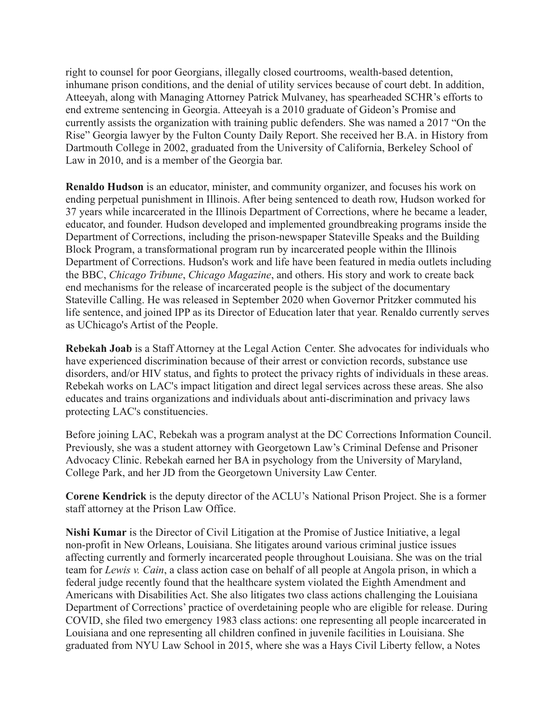right to counsel for poor Georgians, illegally closed courtrooms, wealth-based detention, inhumane prison conditions, and the denial of utility services because of court debt. In addition, Atteeyah, along with Managing Attorney Patrick Mulvaney, has spearheaded SCHR's efforts to end extreme sentencing in Georgia. Atteeyah is a 2010 graduate of Gideon's Promise and currently assists the organization with training public defenders. She was named a 2017 "On the Rise" Georgia lawyer by the Fulton County Daily Report. She received her B.A. in History from Dartmouth College in 2002, graduated from the University of California, Berkeley School of Law in 2010, and is a member of the Georgia bar.

**Renaldo Hudson** is an educator, minister, and community organizer, and focuses his work on ending perpetual punishment in Illinois. After being sentenced to death row, Hudson worked for 37 years while incarcerated in the Illinois Department of Corrections, where he became a leader, educator, and founder. Hudson developed and implemented groundbreaking programs inside the Department of Corrections, including the prison-newspaper Stateville Speaks and the Building Block Program, a transformational program run by incarcerated people within the Illinois Department of Corrections. Hudson's work and life have been featured in media outlets including the BBC, *Chicago Tribune*, *Chicago Magazine*, and others. His story and work to create back end mechanisms for the release of incarcerated people is the subject of the documentary Stateville Calling. He was released in September 2020 when Governor Pritzker commuted his life sentence, and joined IPP as its Director of Education later that year. Renaldo currently serves as UChicago's Artist of the People.

**Rebekah Joab** is a Staff Attorney at the Legal Action Center. She advocates for individuals who have experienced discrimination because of their arrest or conviction records, substance use disorders, and/or HIV status, and fights to protect the privacy rights of individuals in these areas. Rebekah works on LAC's impact litigation and direct legal services across these areas. She also educates and trains organizations and individuals about anti-discrimination and privacy laws protecting LAC's constituencies.

Before joining LAC, Rebekah was a program analyst at the DC Corrections Information Council. Previously, she was a student attorney with Georgetown Law's Criminal Defense and Prisoner Advocacy Clinic. Rebekah earned her BA in psychology from the University of Maryland, College Park, and her JD from the Georgetown University Law Center.

**Corene Kendrick** is the deputy director of the ACLU's National Prison Project. She is a former staff attorney at the Prison Law Office.

**Nishi Kumar** is the Director of Civil Litigation at the Promise of Justice Initiative, a legal non-profit in New Orleans, Louisiana. She litigates around various criminal justice issues affecting currently and formerly incarcerated people throughout Louisiana. She was on the trial team for *Lewis v. Cain*, a class action case on behalf of all people at Angola prison, in which a federal judge recently found that the healthcare system violated the Eighth Amendment and Americans with Disabilities Act. She also litigates two class actions challenging the Louisiana Department of Corrections' practice of overdetaining people who are eligible for release. During COVID, she filed two emergency 1983 class actions: one representing all people incarcerated in Louisiana and one representing all children confined in juvenile facilities in Louisiana. She graduated from NYU Law School in 2015, where she was a Hays Civil Liberty fellow, a Notes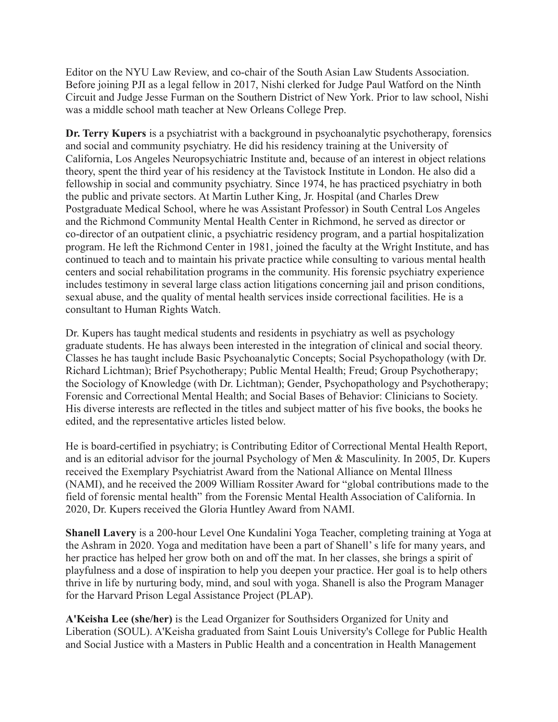Editor on the NYU Law Review, and co-chair of the South Asian Law Students Association. Before joining PJI as a legal fellow in 2017, Nishi clerked for Judge Paul Watford on the Ninth Circuit and Judge Jesse Furman on the Southern District of New York. Prior to law school, Nishi was a middle school math teacher at New Orleans College Prep.

**Dr. Terry Kupers** is a psychiatrist with a background in psychoanalytic psychotherapy, forensics and social and community psychiatry. He did his residency training at the University of California, Los Angeles Neuropsychiatric Institute and, because of an interest in object relations theory, spent the third year of his residency at the Tavistock Institute in London. He also did a fellowship in social and community psychiatry. Since 1974, he has practiced psychiatry in both the public and private sectors. At Martin Luther King, Jr. Hospital (and Charles Drew Postgraduate Medical School, where he was Assistant Professor) in South Central Los Angeles and the Richmond Community Mental Health Center in Richmond, he served as director or co-director of an outpatient clinic, a psychiatric residency program, and a partial hospitalization program. He left the Richmond Center in 1981, joined the faculty at the Wright Institute, and has continued to teach and to maintain his private practice while consulting to various mental health centers and social rehabilitation programs in the community. His forensic psychiatry experience includes testimony in several large class action litigations concerning jail and prison conditions, sexual abuse, and the quality of mental health services inside correctional facilities. He is a consultant to Human Rights Watch.

Dr. Kupers has taught medical students and residents in psychiatry as well as psychology graduate students. He has always been interested in the integration of clinical and social theory. Classes he has taught include Basic Psychoanalytic Concepts; Social Psychopathology (with Dr. Richard Lichtman); Brief Psychotherapy; Public Mental Health; Freud; Group Psychotherapy; the Sociology of Knowledge (with Dr. Lichtman); Gender, Psychopathology and Psychotherapy; Forensic and Correctional Mental Health; and Social Bases of Behavior: Clinicians to Society. His diverse interests are reflected in the titles and subject matter of his five books, the books he edited, and the representative articles listed below.

He is board-certified in psychiatry; is Contributing Editor of Correctional Mental Health Report, and is an editorial advisor for the journal Psychology of Men & Masculinity. In 2005, Dr. Kupers received the Exemplary Psychiatrist Award from the National Alliance on Mental Illness (NAMI), and he received the 2009 William Rossiter Award for "global contributions made to the field of forensic mental health" from the Forensic Mental Health Association of California. In 2020, Dr. Kupers received the Gloria Huntley Award from NAMI.

**Shanell Lavery** is a 200-hour Level One Kundalini Yoga Teacher, completing training at Yoga at the Ashram in 2020. Yoga and meditation have been a part of Shanell' s life for many years, and her practice has helped her grow both on and off the mat. In her classes, she brings a spirit of playfulness and a dose of inspiration to help you deepen your practice. Her goal is to help others thrive in life by nurturing body, mind, and soul with yoga. Shanell is also the Program Manager for the Harvard Prison Legal Assistance Project (PLAP).

**A'Keisha Lee (she/her)** is the Lead Organizer for Southsiders Organized for Unity and Liberation (SOUL). A'Keisha graduated from Saint Louis University's College for Public Health and Social Justice with a Masters in Public Health and a concentration in Health Management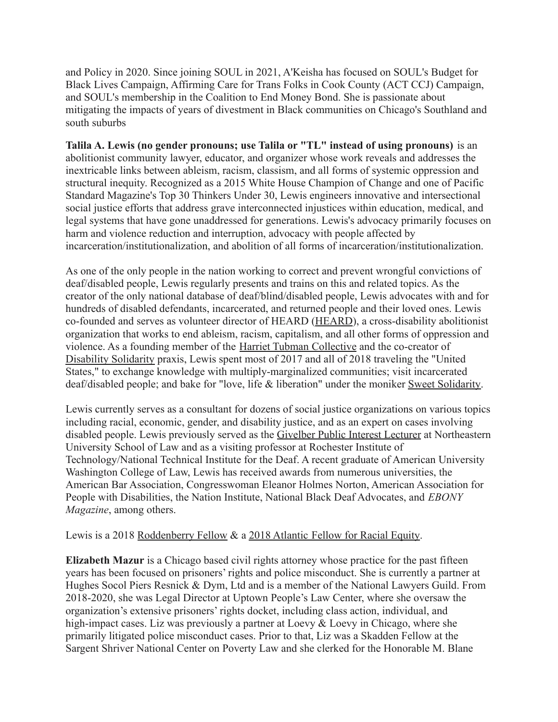and Policy in 2020. Since joining SOUL in 2021, A'Keisha has focused on SOUL's Budget for Black Lives Campaign, Affirming Care for Trans Folks in Cook County (ACT CCJ) Campaign, and SOUL's membership in the Coalition to End Money Bond. She is passionate about mitigating the impacts of years of divestment in Black communities on Chicago's Southland and south suburbs

**Talila A. Lewis (no gender pronouns; use Talila or "TL" instead of using pronouns)** is an abolitionist community lawyer, educator, and organizer whose work reveals and addresses the inextricable links between ableism, racism, classism, and all forms of systemic oppression and structural inequity. Recognized as a 2015 White House Champion of Change and one of Pacific Standard Magazine's Top 30 Thinkers Under 30, Lewis engineers innovative and intersectional social justice efforts that address grave interconnected injustices within education, medical, and legal systems that have gone unaddressed for generations. Lewis's advocacy primarily focuses on harm and violence reduction and interruption, advocacy with people affected by incarceration/institutionalization, and abolition of all forms of incarceration/institutionalization.

As one of the only people in the nation working to correct and prevent wrongful convictions of deaf/disabled people, Lewis regularly presents and trains on this and related topics. As the creator of the only national database of deaf/blind/disabled people, Lewis advocates with and for hundreds of disabled defendants, incarcerated, and returned people and their loved ones. Lewis co-founded and serves as volunteer director of HEARD ([HEARD](https://www.facebook.com/HEARDDC/)), a cross-disability abolitionist organization that works to end ableism, racism, capitalism, and all other forms of oppression and violence. As a founding member of the [Harriet Tubman](https://twitter.com/htcsolidarity) Collective and the co-creator of [Disability Solidarity](https://twitter.com/dissolidarity) praxis, Lewis spent most of 2017 and all of 2018 traveling the "United States," to exchange knowledge with multiply-marginalized communities; visit incarcerated deaf/disabled people; and bake for "love, life & liberation" under the moniker [Sweet Solidarity.](http://www.instagram.com/sweet.solidarity)

Lewis currently serves as a consultant for dozens of social justice organizations on various topics including racial, economic, gender, and disability justice, and as an expert on cases involving disabled people. Lewis previously served as the Givelber [Public Interest Lecturer](http://goo.gl/uwGIB0) at Northeastern University School of Law and as a visiting professor at Rochester Institute of Technology/National Technical Institute for the Deaf. A recent graduate of American University Washington College of Law, Lewis has received awards from numerous universities, the American Bar Association, Congresswoman Eleanor Holmes Norton, American Association for People with Disabilities, the Nation Institute, National Black Deaf Advocates, and *EBONY Magazine*, among others.

## Lewis is a 2018 [Roddenberry Fellow](https://roddenberryfellowship.org/fellows/) & a 2018 Atlantic [Fellow for Racial Equity.](https://racialequity.atlanticfellows.org/our-fellows/)

**Elizabeth Mazur** is a Chicago based civil rights attorney whose practice for the past fifteen years has been focused on prisoners' rights and police misconduct. She is currently a partner at Hughes Socol Piers Resnick & Dym, Ltd and is a member of the National Lawyers Guild. From 2018-2020, she was Legal Director at Uptown People's Law Center, where she oversaw the organization's extensive prisoners' rights docket, including class action, individual, and high-impact cases. Liz was previously a partner at Loevy & Loevy in Chicago, where she primarily litigated police misconduct cases. Prior to that, Liz was a Skadden Fellow at the Sargent Shriver National Center on Poverty Law and she clerked for the Honorable M. Blane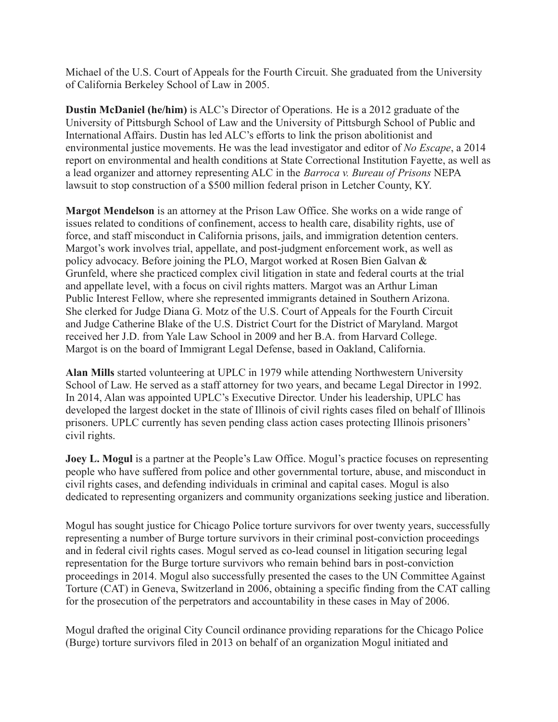Michael of the U.S. Court of Appeals for the Fourth Circuit. She graduated from the University of California Berkeley School of Law in 2005.

**Dustin McDaniel (he/him)** is ALC's Director of Operations. He is a 2012 graduate of the University of Pittsburgh School of Law and the University of Pittsburgh School of Public and International Affairs. Dustin has led ALC's efforts to link the prison abolitionist and environmental justice movements. He was the lead investigator and editor of *[No Escape](https://abolitionistlawcenter.org/wp-content/uploads/2014/09/no-escape-3-3mb.pdf)*, a 2014 report on environmental and health conditions at State Correctional Institution Fayette, as well as a lead organizer and attorney representing ALC in the *[Barroca v. Bureau of Prisons](https://abolitionistlawcenter.org/2019/06/20/media-release-inmates-and-activists-stop-new-prison-on-coal-mine-site-in-kentucky/)* NEPA lawsuit to stop construction of a \$500 million federal prison in Letcher County, KY.

**Margot Mendelson** is an attorney at the Prison Law Office. She works on a wide range of issues related to conditions of confinement, access to health care, disability rights, use of force, and staff misconduct in California prisons, jails, and immigration detention centers. Margot's work involves trial, appellate, and post-judgment enforcement work, as well as policy advocacy. Before joining the PLO, Margot worked at Rosen Bien Galvan & Grunfeld, where she practiced complex civil litigation in state and federal courts at the trial and appellate level, with a focus on civil rights matters. Margot was an Arthur Liman Public Interest Fellow, where she represented immigrants detained in Southern Arizona. She clerked for Judge Diana G. Motz of the U.S. Court of Appeals for the Fourth Circuit and Judge Catherine Blake of the U.S. District Court for the District of Maryland. Margot received her J.D. from Yale Law School in 2009 and her B.A. from Harvard College. Margot is on the board of Immigrant Legal Defense, based in Oakland, California.

**Alan Mills** started volunteering at UPLC in 1979 while attending Northwestern University School of Law. He served as a staff attorney for two years, and became Legal Director in 1992. In 2014, Alan was appointed UPLC's Executive Director. Under his leadership, UPLC has developed the largest docket in the state of Illinois of civil rights cases filed on behalf of Illinois prisoners. UPLC currently has seven pending class action cases protecting Illinois prisoners' civil rights.

**Joey L. Mogul** is a partner at the People's Law Office. Mogul's practice focuses on representing people who have suffered from police and other governmental torture, abuse, and misconduct in civil rights cases, and defending individuals in criminal and capital cases. Mogul is also dedicated to representing organizers and community organizations seeking justice and liberation.

Mogul has sought justice for Chicago Police torture survivors for over twenty years, successfully representing a number of Burge torture survivors in their criminal post-conviction proceedings and in federal civil rights cases. Mogul served as co-lead counsel in litigation securing legal representation for the Burge torture survivors who remain behind bars in post-conviction proceedings in 2014. Mogul also successfully presented the cases to the UN Committee Against Torture (CAT) in Geneva, Switzerland in 2006, obtaining a specific finding from the CAT calling for the prosecution of the perpetrators and accountability in these cases in May of 2006.

Mogul drafted the original City Council ordinance providing reparations for the Chicago Police (Burge) torture survivors filed in 2013 on behalf of an organization Mogul initiated and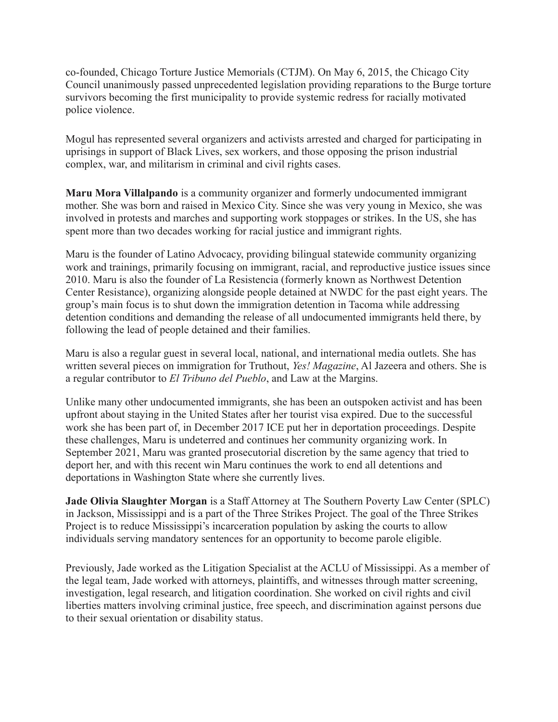co-founded, Chicago Torture Justice Memorials (CTJM). On May 6, 2015, the Chicago City Council unanimously passed unprecedented legislation providing reparations to the Burge torture survivors becoming the first municipality to provide systemic redress for racially motivated police violence.

Mogul has represented several organizers and activists arrested and charged for participating in uprisings in support of Black Lives, sex workers, and those opposing the prison industrial complex, war, and militarism in criminal and civil rights cases.

**Maru Mora Villalpando** is a community organizer and formerly undocumented immigrant mother. She was born and raised in Mexico City. Since she was very young in Mexico, she was involved in protests and marches and supporting work stoppages or strikes. In the US, she has spent more than two decades working for racial justice and immigrant rights.

Maru is the founder of Latino Advocacy, providing bilingual statewide community organizing work and trainings, primarily focusing on immigrant, racial, and reproductive justice issues since 2010. Maru is also the founder of La Resistencia (formerly known as Northwest Detention Center Resistance), organizing alongside people detained at NWDC for the past eight years. The group's main focus is to shut down the immigration detention in Tacoma while addressing detention conditions and demanding the release of all undocumented immigrants held there, by following the lead of people detained and their families.

Maru is also a regular guest in several local, national, and international media outlets. She has written several pieces on immigration for Truthout, *Yes! Magazine*, Al Jazeera and others. She is a regular contributor to *El Tribuno del Pueblo*, and Law at the Margins.

Unlike many other undocumented immigrants, she has been an outspoken activist and has been upfront about staying in the United States after her tourist visa expired. Due to the successful work she has been part of, in December 2017 ICE put her in deportation proceedings. Despite these challenges, Maru is undeterred and continues her community organizing work. In September 2021, Maru was granted prosecutorial discretion by the same agency that tried to deport her, and with this recent win Maru continues the work to end all detentions and deportations in Washington State where she currently lives.

**Jade Olivia Slaughter Morgan** is a Staff Attorney at The Southern Poverty Law Center (SPLC) in Jackson, Mississippi and is a part of the Three Strikes Project. The goal of the Three Strikes Project is to reduce Mississippi's incarceration population by asking the courts to allow individuals serving mandatory sentences for an opportunity to become parole eligible.

Previously, Jade worked as the Litigation Specialist at the ACLU of Mississippi. As a member of the legal team, Jade worked with attorneys, plaintiffs, and witnesses through matter screening, investigation, legal research, and litigation coordination. She worked on civil rights and civil liberties matters involving criminal justice, free speech, and discrimination against persons due to their sexual orientation or disability status.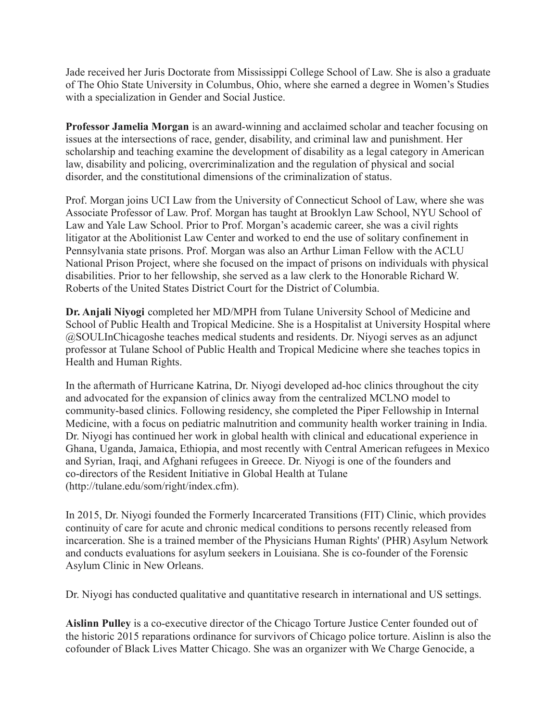Jade received her Juris Doctorate from Mississippi College School of Law. She is also a graduate of The Ohio State University in Columbus, Ohio, where she earned a degree in Women's Studies with a specialization in Gender and Social Justice.

**Professor Jamelia Morgan** is an award-winning and acclaimed scholar and teacher focusing on issues at the intersections of race, gender, disability, and criminal law and punishment. Her scholarship and teaching examine the development of disability as a legal category in American law, disability and policing, overcriminalization and the regulation of physical and social disorder, and the constitutional dimensions of the criminalization of status.

Prof. Morgan joins UCI Law from the University of Connecticut School of Law, where she was Associate Professor of Law. Prof. Morgan has taught at Brooklyn Law School, NYU School of Law and Yale Law School. Prior to Prof. Morgan's academic career, she was a civil rights litigator at the Abolitionist Law Center and worked to end the use of solitary confinement in Pennsylvania state prisons. Prof. Morgan was also an Arthur Liman Fellow with the ACLU National Prison Project, where she focused on the impact of prisons on individuals with physical disabilities. Prior to her fellowship, she served as a law clerk to the Honorable Richard W. Roberts of the United States District Court for the District of Columbia.

**Dr. Anjali Niyogi** completed her MD/MPH from Tulane University School of Medicine and School of Public Health and Tropical Medicine. She is a Hospitalist at University Hospital where @SOULInChicagoshe teaches medical students and residents. Dr. Niyogi serves as an adjunct professor at Tulane School of Public Health and Tropical Medicine where she teaches topics in Health and Human Rights.

In the aftermath of Hurricane Katrina, Dr. Niyogi developed ad-hoc clinics throughout the city and advocated for the expansion of clinics away from the centralized MCLNO model to community-based clinics. Following residency, she completed the Piper Fellowship in Internal Medicine, with a focus on pediatric malnutrition and community health worker training in India. Dr. Niyogi has continued her work in global health with clinical and educational experience in Ghana, Uganda, Jamaica, Ethiopia, and most recently with Central American refugees in Mexico and Syrian, Iraqi, and Afghani refugees in Greece. Dr. Niyogi is one of the founders and co-directors of the Resident Initiative in Global Health at Tulane (<http://tulane.edu/som/right/index.cfm>).

In 2015, Dr. Niyogi founded the Formerly Incarcerated Transitions (FIT) Clinic, which provides continuity of care for acute and chronic medical conditions to persons recently released from incarceration. She is a trained member of the Physicians Human Rights' (PHR) Asylum Network and conducts evaluations for asylum seekers in Louisiana. She is co-founder of the Forensic Asylum Clinic in New Orleans.

Dr. Niyogi has conducted qualitative and quantitative research in international and US settings.

**Aislinn Pulley** is a co-executive director of the Chicago Torture Justice Center founded out of the historic 2015 reparations ordinance for survivors of Chicago police torture. Aislinn is also the cofounder of Black Lives Matter Chicago. She was an organizer with We Charge Genocide, a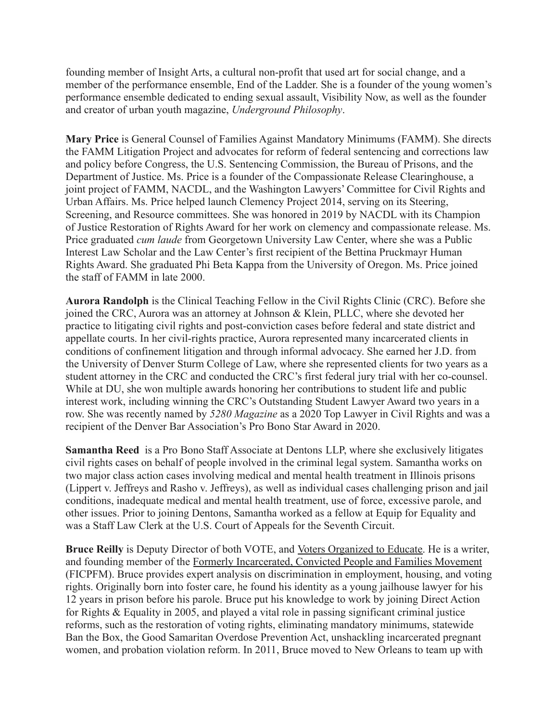founding member of Insight Arts, a cultural non-profit that used art for social change, and a member of the performance ensemble, End of the Ladder. She is a founder of the young women's performance ensemble dedicated to ending sexual assault, Visibility Now, as well as the founder and creator of urban youth magazine, *Underground Philosophy*.

**Mary Price** is General Counsel of Families Against Mandatory Minimums (FAMM). She directs the FAMM Litigation Project and advocates for reform of federal sentencing and corrections law and policy before Congress, the U.S. Sentencing Commission, the Bureau of Prisons, and the Department of Justice. Ms. Price is a founder of the Compassionate Release Clearinghouse, a joint project of FAMM, NACDL, and the Washington Lawyers' Committee for Civil Rights and Urban Affairs. Ms. Price helped launch Clemency Project 2014, serving on its Steering, Screening, and Resource committees. She was honored in 2019 by NACDL with its Champion of Justice Restoration of Rights Award for her work on clemency and compassionate release. Ms. Price graduated *cum laude* from Georgetown University Law Center, where she was a Public Interest Law Scholar and the Law Center's first recipient of the Bettina Pruckmayr Human Rights Award. She graduated Phi Beta Kappa from the University of Oregon. Ms. Price joined the staff of FAMM in late 2000.

**Aurora Randolph** is the Clinical Teaching Fellow in the Civil Rights Clinic (CRC). Before she joined the CRC, Aurora was an attorney at Johnson & Klein, PLLC, where she devoted her practice to litigating civil rights and post-conviction cases before federal and state district and appellate courts. In her civil-rights practice, Aurora represented many incarcerated clients in conditions of confinement litigation and through informal advocacy. She earned her J.D. from the University of Denver Sturm College of Law, where she represented clients for two years as a student attorney in the CRC and conducted the CRC's first federal jury trial with her co-counsel. While at DU, she won multiple awards honoring her contributions to student life and public interest work, including winning the CRC's Outstanding Student Lawyer Award two years in a row. She was recently named by *5280 Magazine* as a 2020 Top Lawyer in Civil Rights and was a recipient of the Denver Bar Association's Pro Bono Star Award in 2020.

**Samantha Reed** is a Pro Bono Staff Associate at Dentons LLP, where she exclusively litigates civil rights cases on behalf of people involved in the criminal legal system. Samantha works on two major class action cases involving medical and mental health treatment in Illinois prisons (Lippert v. Jeffreys and Rasho v. Jeffreys), as well as individual cases challenging prison and jail conditions, inadequate medical and mental health treatment, use of force, excessive parole, and other issues. Prior to joining Dentons, Samantha worked as a fellow at Equip for Equality and was a Staff Law Clerk at the U.S. Court of Appeals for the Seventh Circuit.

**Bruce Reilly** is Deputy Director of both VOTE, and [Voters Organized to Educate.](https://www.knowyourvotela.org/) He is a writer, and founding member of the Formerly Incarcerated, [Convicted People and Families Movement](http://ficpfm.org/) (FICPFM). Bruce provides expert analysis on discrimination in employment, housing, and voting rights. Originally born into foster care, he found his identity as a young jailhouse lawyer for his 12 years in prison before his parole. Bruce put his knowledge to work by joining Direct Action for Rights & Equality in 2005, and played a vital role in passing significant criminal justice reforms, such as the restoration of voting rights, eliminating mandatory minimums, statewide Ban the Box, the Good Samaritan Overdose Prevention Act, unshackling incarcerated pregnant women, and probation violation reform. In 2011, Bruce moved to New Orleans to team up with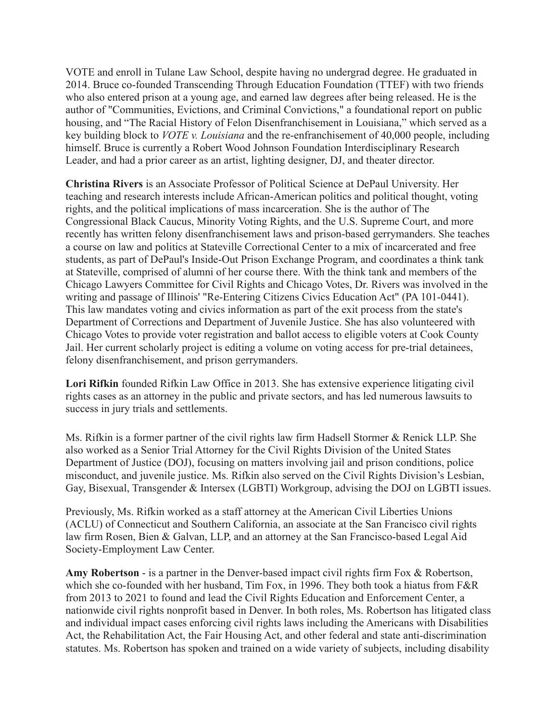VOTE and enroll in Tulane Law School, despite having no undergrad degree. He graduated in 2014. Bruce co-founded Transcending Through Education Foundation (TTEF) with two friends who also entered prison at a young age, and earned law degrees after being released. He is the author of "Communities, Evictions, and Criminal Convictions," a foundational report on public housing, and "The Racial History of Felon Disenfranchisement in Louisiana," which served as a key building block to *VOTE v. Louisiana* and the re-enfranchisement of 40,000 people, including himself. Bruce is currently a Robert Wood Johnson Foundation Interdisciplinary Research Leader, and had a prior career as an artist, lighting designer, DJ, and theater director.

**Christina Rivers** is an Associate Professor of Political Science at DePaul University. Her teaching and research interests include African-American politics and political thought, voting rights, and the political implications of mass incarceration. She is the author of The Congressional Black Caucus, Minority Voting Rights, and the U.S. Supreme Court, and more recently has written felony disenfranchisement laws and prison-based gerrymanders. She teaches a course on law and politics at Stateville Correctional Center to a mix of incarcerated and free students, as part of DePaul's Inside-Out Prison Exchange Program, and coordinates a think tank at Stateville, comprised of alumni of her course there. With the think tank and members of the Chicago Lawyers Committee for Civil Rights and Chicago Votes, Dr. Rivers was involved in the writing and passage of Illinois' "Re-Entering Citizens Civics Education Act" (PA 101-0441). This law mandates voting and civics information as part of the exit process from the state's Department of Corrections and Department of Juvenile Justice. She has also volunteered with Chicago Votes to provide voter registration and ballot access to eligible voters at Cook County Jail. Her current scholarly project is editing a volume on voting access for pre-trial detainees, felony disenfranchisement, and prison gerrymanders.

**Lori Rifkin** founded Rifkin Law Office in 2013. She has extensive experience litigating civil rights cases as an attorney in the public and private sectors, and has led numerous lawsuits to success in jury trials and settlements.

Ms. Rifkin is a former partner of the civil rights law firm Hadsell Stormer & Renick LLP. She also worked as a Senior Trial Attorney for the Civil Rights Division of the United States Department of Justice (DOJ), focusing on matters involving jail and prison conditions, police misconduct, and juvenile justice. Ms. Rifkin also served on the Civil Rights Division's Lesbian, Gay, Bisexual, Transgender & Intersex (LGBTI) Workgroup, advising the DOJ on LGBTI issues.

Previously, Ms. Rifkin worked as a staff attorney at the American Civil Liberties Unions (ACLU) of Connecticut and Southern California, an associate at the San Francisco civil rights law firm Rosen, Bien & Galvan, LLP, and an attorney at the San Francisco-based Legal Aid Society-Employment Law Center.

**Amy Robertson** - is a partner in the Denver-based impact civil rights firm Fox & Robertson, which she co-founded with her husband, Tim Fox, in 1996. They both took a hiatus from F&R from 2013 to 2021 to found and lead the Civil Rights Education and Enforcement Center, a nationwide civil rights nonprofit based in Denver. In both roles, Ms. Robertson has litigated class and individual impact cases enforcing civil rights laws including the Americans with Disabilities Act, the Rehabilitation Act, the Fair Housing Act, and other federal and state anti-discrimination statutes. Ms. Robertson has spoken and trained on a wide variety of subjects, including disability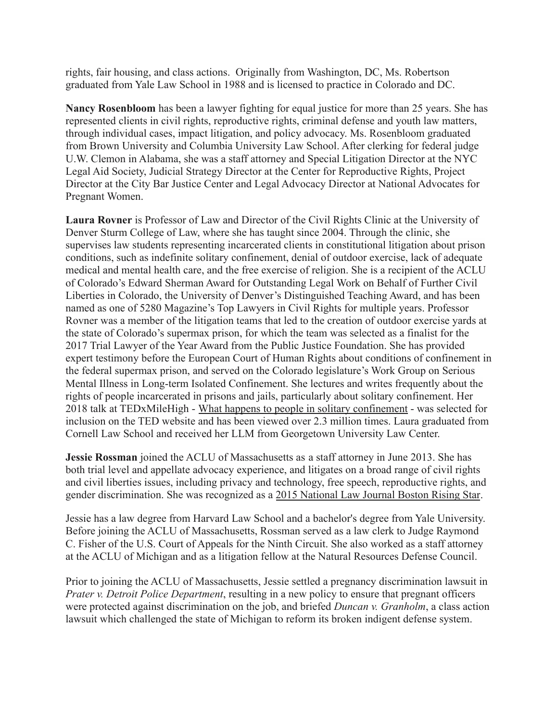rights, fair housing, and class actions. Originally from Washington, DC, Ms. Robertson graduated from Yale Law School in 1988 and is licensed to practice in Colorado and DC.

**Nancy Rosenbloom** has been a lawyer fighting for equal justice for more than 25 years. She has represented clients in civil rights, reproductive rights, criminal defense and youth law matters, through individual cases, impact litigation, and policy advocacy. Ms. Rosenbloom graduated from Brown University and Columbia University Law School. After clerking for federal judge U.W. Clemon in Alabama, she was a staff attorney and Special Litigation Director at the NYC Legal Aid Society, Judicial Strategy Director at the Center for Reproductive Rights, Project Director at the City Bar Justice Center and Legal Advocacy Director at National Advocates for Pregnant Women.

**Laura Rovner** is Professor of Law and Director of the Civil Rights Clinic at the University of Denver Sturm College of Law, where she has taught since 2004. Through the clinic, she supervises law students representing incarcerated clients in constitutional litigation about prison conditions, such as indefinite solitary confinement, denial of outdoor exercise, lack of adequate medical and mental health care, and the free exercise of religion. She is a recipient of the ACLU of Colorado's Edward Sherman Award for Outstanding Legal Work on Behalf of Further Civil Liberties in Colorado, the University of Denver's Distinguished Teaching Award, and has been named as one of 5280 Magazine's Top Lawyers in Civil Rights for multiple years. Professor Rovner was a member of the litigation teams that led to the creation of outdoor exercise yards at the state of Colorado's supermax prison, for which the team was selected as a finalist for the 2017 Trial Lawyer of the Year Award from the Public Justice Foundation. She has provided expert testimony before the European Court of Human Rights about conditions of confinement in the federal supermax prison, and served on the Colorado legislature's Work Group on Serious Mental Illness in Long-term Isolated Confinement. She lectures and writes frequently about the rights of people incarcerated in prisons and jails, particularly about solitary confinement. Her 2018 talk at TEDxMileHigh - [What happens to people](https://www.ted.com/talks/laura_rovner_what_happens_to_people_in_solitary_confinement) in solitary confinement - was selected for inclusion on the TED website and has been viewed over 2.3 million times. Laura graduated from Cornell Law School and received her LLM from Georgetown University Law Center.

**Jessie Rossman** joined the ACLU of Massachusetts as a staff attorney in June 2013. She has both trial level and appellate advocacy experience, and litigates on a broad range of civil rights and civil liberties issues, including privacy and technology, free speech, reproductive rights, and gender discrimination. She was recognized as a 2015 [National Law Journal Boston Rising Star](http://www.nationallawjournal.com/id=1202738024122/The-National-Law-Journal-Connecticut-Law-Tribune-Announce-Boston-Rising-Stars?slreturn=20151019103903).

Jessie has a law degree from Harvard Law School and a bachelor's degree from Yale University. Before joining the ACLU of Massachusetts, Rossman served as a law clerk to Judge Raymond C. Fisher of the U.S. Court of Appeals for the Ninth Circuit. She also worked as a staff attorney at the ACLU of Michigan and as a litigation fellow at the Natural Resources Defense Council.

Prior to joining the ACLU of Massachusetts, Jessie settled a pregnancy discrimination lawsuit in *Prater v. Detroit Police Department*, resulting in a new policy to ensure that pregnant officers were protected against discrimination on the job, and briefed *Duncan v. Granholm*, a class action lawsuit which challenged the state of Michigan to reform its broken indigent defense system.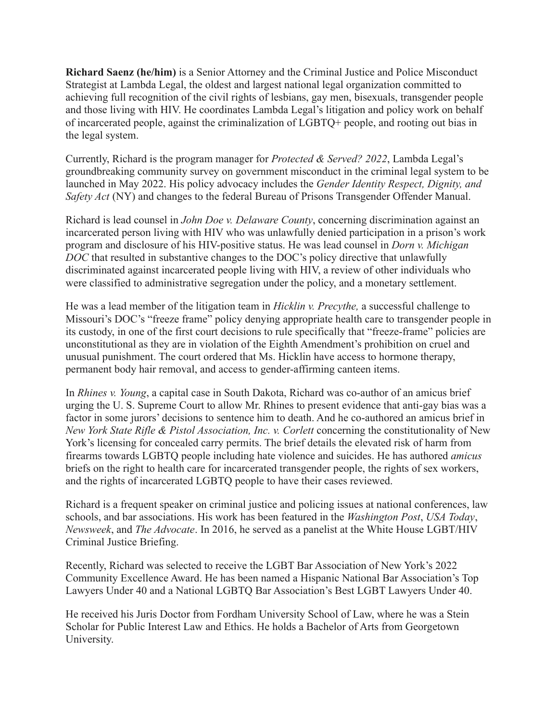**Richard Saenz (he/him)** is a Senior Attorney and the Criminal Justice and Police Misconduct Strategist at Lambda Legal, the oldest and largest national legal organization committed to achieving full recognition of the civil rights of lesbians, gay men, bisexuals, transgender people and those living with HIV. He coordinates Lambda Legal's litigation and policy work on behalf of incarcerated people, against the criminalization of LGBTQ+ people, and rooting out bias in the legal system.

Currently, Richard is the program manager for *Protected & Served? 2022*, Lambda Legal's groundbreaking community survey on government misconduct in the criminal legal system to be launched in May 2022. His policy advocacy includes the *Gender Identity Respect, Dignity, and Safety Act* (NY) and changes to the federal Bureau of Prisons Transgender Offender Manual.

Richard is lead counsel in *John Doe v. Delaware County*, concerning discrimination against an incarcerated person living with HIV who was unlawfully denied participation in a prison's work program and disclosure of his HIV-positive status. He was lead counsel in *Dorn v. Michigan DOC* that resulted in substantive changes to the DOC's policy directive that unlawfully discriminated against incarcerated people living with HIV, a review of other individuals who were classified to administrative segregation under the policy, and a monetary settlement.

He was a lead member of the litigation team in *Hicklin v. Precythe,* a successful challenge to Missouri's DOC's "freeze frame" policy denying appropriate health care to transgender people in its custody, in one of the first court decisions to rule specifically that "freeze-frame" policies are unconstitutional as they are in violation of the Eighth Amendment's prohibition on cruel and unusual punishment. The court ordered that Ms. Hicklin have access to hormone therapy, permanent body hair removal, and access to gender-affirming canteen items.

In *Rhines v. Young*, a capital case in South Dakota, Richard was co-author of an amicus brief urging the U. S. Supreme Court to allow Mr. Rhines to present evidence that anti-gay bias was a factor in some jurors' decisions to sentence him to death. And he co-authored an amicus brief in *New York State Rifle & Pistol Association, Inc. v. Corlett concerning the constitutionality of New* York's licensing for concealed carry permits. The brief details the elevated risk of harm from firearms towards LGBTQ people including hate violence and suicides. He has authored *amicus* briefs on the right to health care for incarcerated transgender people, the rights of sex workers, and the rights of incarcerated LGBTQ people to have their cases reviewed.

Richard is a frequent speaker on criminal justice and policing issues at national conferences, law schools, and bar associations. His work has been featured in the *Washington Post*, *USA Today*, *Newsweek*, and *The Advocate*. In 2016, he served as a panelist at the White House LGBT/HIV Criminal Justice Briefing.

Recently, Richard was selected to receive the LGBT Bar Association of New York's 2022 Community Excellence Award. He has been named a Hispanic National Bar Association's Top Lawyers Under 40 and a National LGBTQ Bar Association's Best LGBT Lawyers Under 40.

He received his Juris Doctor from Fordham University School of Law, where he was a Stein Scholar for Public Interest Law and Ethics. He holds a Bachelor of Arts from Georgetown University.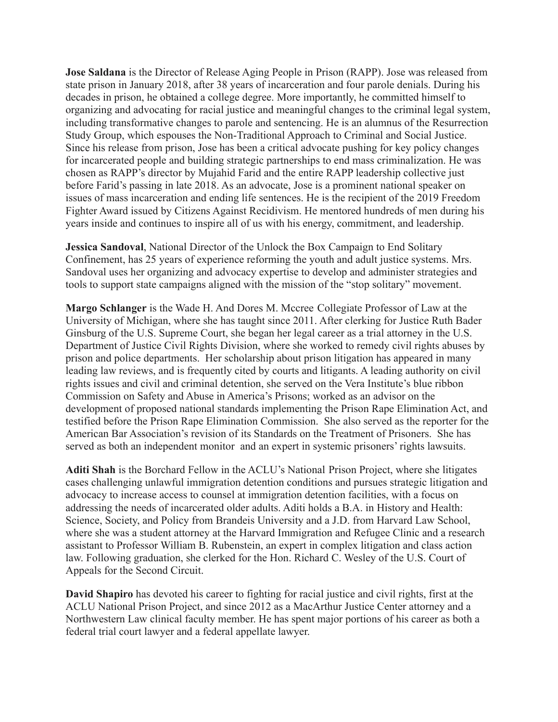**Jose Saldana** is the Director of Release Aging People in Prison (RAPP). Jose was released from state prison in January 2018, after 38 years of incarceration and four parole denials. During his decades in prison, he obtained a college degree. More importantly, he committed himself to organizing and advocating for racial justice and meaningful changes to the criminal legal system, including transformative changes to parole and sentencing. He is an alumnus of the Resurrection Study Group, which espouses the Non-Traditional Approach to Criminal and Social Justice. Since his release from prison, Jose has been a critical advocate pushing for key policy changes for incarcerated people and building strategic partnerships to end mass criminalization. He was chosen as RAPP's director by Mujahid Farid and the entire RAPP leadership collective just before Farid's passing in late 2018. As an advocate, Jose is a prominent national speaker on issues of mass incarceration and ending life sentences. He is the recipient of the 2019 Freedom Fighter Award issued by Citizens Against Recidivism. He mentored hundreds of men during his years inside and continues to inspire all of us with his energy, commitment, and leadership.

**Jessica Sandoval**, National Director of the Unlock the Box Campaign to End Solitary Confinement, has 25 years of experience reforming the youth and adult justice systems. Mrs. Sandoval uses her organizing and advocacy expertise to develop and administer strategies and tools to support state campaigns aligned with the mission of the "stop solitary" movement.

**Margo Schlanger** is the Wade H. And Dores M. Mccree Collegiate Professor of Law at the University of Michigan, where she has taught since 2011. After clerking for Justice Ruth Bader Ginsburg of the U.S. Supreme Court, she began her legal career as a trial attorney in the U.S. Department of Justice Civil Rights Division, where she worked to remedy civil rights abuses by prison and police departments. Her scholarship about prison litigation has appeared in many leading law reviews, and is frequently cited by courts and litigants. A leading authority on civil rights issues and civil and criminal detention, she served on the Vera Institute's blue ribbon Commission on Safety and Abuse in America's Prisons; worked as an advisor on the development of proposed national standards implementing the Prison Rape Elimination Act, and testified before the Prison Rape Elimination Commission. She also served as the reporter for the American Bar Association's revision of its Standards on the Treatment of Prisoners. She has served as both an independent monitor and an expert in systemic prisoners' rights lawsuits.

**Aditi Shah** is the Borchard Fellow in the ACLU's National Prison Project, where she litigates cases challenging unlawful immigration detention conditions and pursues strategic litigation and advocacy to increase access to counsel at immigration detention facilities, with a focus on addressing the needs of incarcerated older adults. Aditi holds a B.A. in History and Health: Science, Society, and Policy from Brandeis University and a J.D. from Harvard Law School, where she was a student attorney at the Harvard Immigration and Refugee Clinic and a research assistant to Professor William B. Rubenstein, an expert in complex litigation and class action law. Following graduation, she clerked for the Hon. Richard C. Wesley of the U.S. Court of Appeals for the Second Circuit.

**David Shapiro** has devoted his career to fighting for racial justice and civil rights, first at the ACLU National Prison Project, and since 2012 as a MacArthur Justice Center attorney and a Northwestern Law clinical faculty member. He has spent major portions of his career as both a federal trial court lawyer and a federal appellate lawyer.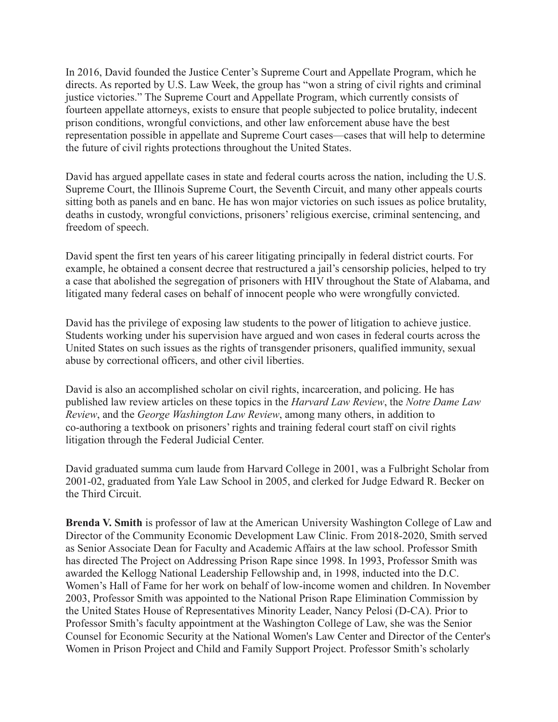In 2016, David founded the Justice Center's Supreme Court and Appellate Program, which he directs. As reported by U.S. Law Week, the group has "won a string of civil rights and criminal justice victories." The Supreme Court and Appellate Program, which currently consists of fourteen appellate attorneys, exists to ensure that people subjected to police brutality, indecent prison conditions, wrongful convictions, and other law enforcement abuse have the best representation possible in appellate and Supreme Court cases—cases that will help to determine the future of civil rights protections throughout the United States.

David has argued appellate cases in state and federal courts across the nation, including the U.S. Supreme Court, the Illinois Supreme Court, the Seventh Circuit, and many other appeals courts sitting both as panels and en banc. He has won major victories on such issues as police brutality, deaths in custody, wrongful convictions, prisoners' religious exercise, criminal sentencing, and freedom of speech.

David spent the first ten years of his career litigating principally in federal district courts. For example, he obtained a consent decree that restructured a jail's censorship policies, helped to try a case that abolished the segregation of prisoners with HIV throughout the State of Alabama, and litigated many federal cases on behalf of innocent people who were wrongfully convicted.

David has the privilege of exposing law students to the power of litigation to achieve justice. Students working under his supervision have argued and won cases in federal courts across the United States on such issues as the rights of transgender prisoners, qualified immunity, sexual abuse by correctional officers, and other civil liberties.

David is also an accomplished scholar on civil rights, incarceration, and policing. He has published law review articles on these topics in the *Harvard Law Review*, the *Notre Dame Law Review*, and the *George Washington Law Review*, among many others, in addition to co-authoring a textbook on prisoners' rights and training federal court staff on civil rights litigation through the Federal Judicial Center.

David graduated summa cum laude from Harvard College in 2001, was a Fulbright Scholar from 2001-02, graduated from Yale Law School in 2005, and clerked for Judge Edward R. Becker on the Third Circuit.

**Brenda V. Smith** is professor of law at the American University Washington College of Law and Director of the Community Economic Development Law Clinic. From 2018-2020, Smith served as Senior Associate Dean for Faculty and Academic Affairs at the law school. Professor Smith has directed The Project on Addressing Prison Rape since 1998. In 1993, Professor Smith was awarded the Kellogg National Leadership Fellowship and, in 1998, inducted into the D.C. Women's Hall of Fame for her work on behalf of low-income women and children. In November 2003, Professor Smith was appointed to the National Prison Rape Elimination Commission by the United States House of Representatives Minority Leader, Nancy Pelosi (D-CA). Prior to Professor Smith's faculty appointment at the Washington College of Law, she was the Senior Counsel for Economic Security at the National Women's Law Center and Director of the Center's Women in Prison Project and Child and Family Support Project. Professor Smith's scholarly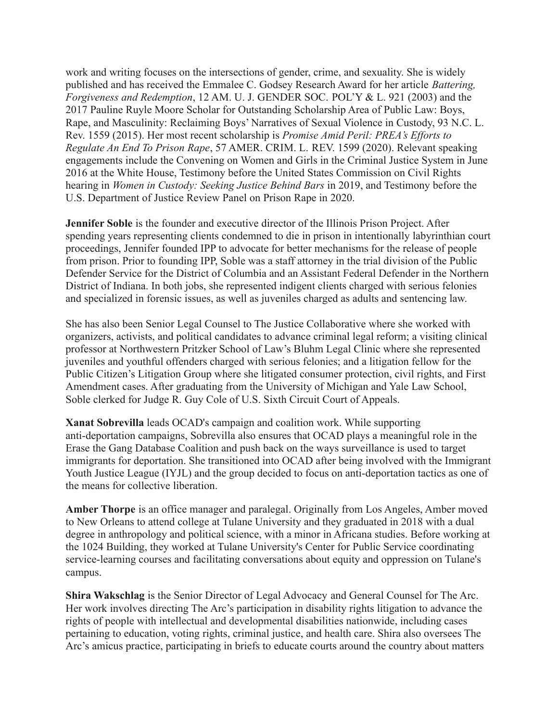work and writing focuses on the intersections of gender, crime, and sexuality. She is widely published and has received the Emmalee C. Godsey Research Award for her article *Battering, Forgiveness and Redemption*, 12 AM. U. J. GENDER SOC. POL'Y & L. 921 (2003) and the 2017 Pauline Ruyle Moore Scholar for Outstanding Scholarship Area of Public Law: Boys, Rape, and Masculinity: Reclaiming Boys' Narratives of Sexual Violence in Custody, 93 N.C. L. Rev. 1559 (2015). Her most recent scholarship is *Promise Amid Peril: PREA's Efforts to Regulate An End To Prison Rape*, 57 AMER. CRIM. L. REV. 1599 (2020). Relevant speaking engagements include the Convening on Women and Girls in the Criminal Justice System in June 2016 at the White House, Testimony before the United States Commission on Civil Rights hearing in *Women in Custody: Seeking Justice Behind Bars* in 2019, and Testimony before the U.S. Department of Justice Review Panel on Prison Rape in 2020.

**Jennifer Soble** is the founder and executive director of the Illinois Prison Project. After spending years representing clients condemned to die in prison in intentionally labyrinthian court proceedings, Jennifer founded IPP to advocate for better mechanisms for the release of people from prison. Prior to founding IPP, Soble was a staff attorney in the trial division of the Public Defender Service for the District of Columbia and an Assistant Federal Defender in the Northern District of Indiana. In both jobs, she represented indigent clients charged with serious felonies and specialized in forensic issues, as well as juveniles charged as adults and sentencing law.

She has also been Senior Legal Counsel to The Justice Collaborative where she worked with organizers, activists, and political candidates to advance criminal legal reform; a visiting clinical professor at Northwestern Pritzker School of Law's Bluhm Legal Clinic where she represented juveniles and youthful offenders charged with serious felonies; and a litigation fellow for the Public Citizen's Litigation Group where she litigated consumer protection, civil rights, and First Amendment cases. After graduating from the University of Michigan and Yale Law School, Soble clerked for Judge R. Guy Cole of U.S. Sixth Circuit Court of Appeals.

**Xanat Sobrevilla** leads OCAD's campaign and coalition work. While supporting anti-deportation campaigns, Sobrevilla also ensures that OCAD plays a meaningful role in the Erase the Gang Database Coalition and push back on the ways surveillance is used to target immigrants for deportation. She transitioned into OCAD after being involved with the Immigrant Youth Justice League (IYJL) and the group decided to focus on anti-deportation tactics as one of the means for collective liberation.

**Amber Thorpe** is an office manager and paralegal. Originally from Los Angeles, Amber moved to New Orleans to attend college at Tulane University and they graduated in 2018 with a dual degree in anthropology and political science, with a minor in Africana studies. Before working at the 1024 Building, they worked at Tulane University's Center for Public Service coordinating service-learning courses and facilitating conversations about equity and oppression on Tulane's campus.

**Shira Wakschlag** is the Senior Director of Legal Advocacy and General Counsel for The Arc. Her work involves directing The Arc's participation in disability rights litigation to advance the rights of people with intellectual and developmental disabilities nationwide, including cases pertaining to education, voting rights, criminal justice, and health care. Shira also oversees The Arc's amicus practice, participating in briefs to educate courts around the country about matters